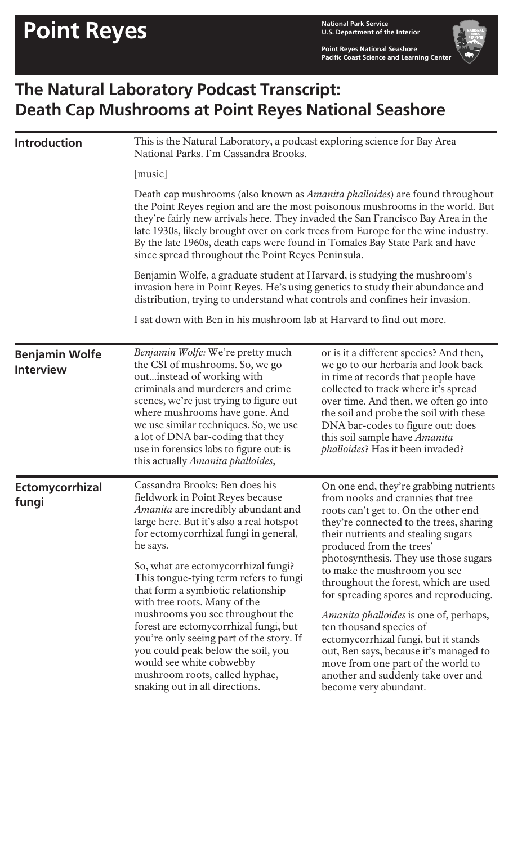**U.S. Department of the Interior**

**Point Reyes National Seashore Pacific Coast Science and Learning Center**

## **The Natural Laboratory Podcast Transcript: Death Cap Mushrooms at Point Reyes National Seashore**

| <b>Introduction</b>      | This is the Natural Laboratory, a podcast exploring science for Bay Area<br>National Parks. I'm Cassandra Brooks.                                                                                                                                                                                                                                                                                                                                                                                                                                                                                                                                                                                                                |                                                                                                                                                                                                                                                                                                                                                                                                                                                                                                                                                                                                                                                                 |                                                                                                                                                                                                                                                                                                                                                            |
|--------------------------|----------------------------------------------------------------------------------------------------------------------------------------------------------------------------------------------------------------------------------------------------------------------------------------------------------------------------------------------------------------------------------------------------------------------------------------------------------------------------------------------------------------------------------------------------------------------------------------------------------------------------------------------------------------------------------------------------------------------------------|-----------------------------------------------------------------------------------------------------------------------------------------------------------------------------------------------------------------------------------------------------------------------------------------------------------------------------------------------------------------------------------------------------------------------------------------------------------------------------------------------------------------------------------------------------------------------------------------------------------------------------------------------------------------|------------------------------------------------------------------------------------------------------------------------------------------------------------------------------------------------------------------------------------------------------------------------------------------------------------------------------------------------------------|
|                          | [music]                                                                                                                                                                                                                                                                                                                                                                                                                                                                                                                                                                                                                                                                                                                          |                                                                                                                                                                                                                                                                                                                                                                                                                                                                                                                                                                                                                                                                 |                                                                                                                                                                                                                                                                                                                                                            |
|                          | Death cap mushrooms (also known as <i>Amanita phalloides</i> ) are found throughout<br>the Point Reyes region and are the most poisonous mushrooms in the world. But<br>they're fairly new arrivals here. They invaded the San Francisco Bay Area in the<br>late 1930s, likely brought over on cork trees from Europe for the wine industry.<br>By the late 1960s, death caps were found in Tomales Bay State Park and have<br>since spread throughout the Point Reyes Peninsula.<br>Benjamin Wolfe, a graduate student at Harvard, is studying the mushroom's<br>invasion here in Point Reyes. He's using genetics to study their abundance and<br>distribution, trying to understand what controls and confines heir invasion. |                                                                                                                                                                                                                                                                                                                                                                                                                                                                                                                                                                                                                                                                 |                                                                                                                                                                                                                                                                                                                                                            |
|                          |                                                                                                                                                                                                                                                                                                                                                                                                                                                                                                                                                                                                                                                                                                                                  |                                                                                                                                                                                                                                                                                                                                                                                                                                                                                                                                                                                                                                                                 |                                                                                                                                                                                                                                                                                                                                                            |
|                          | <b>Benjamin Wolfe</b><br><b>Interview</b>                                                                                                                                                                                                                                                                                                                                                                                                                                                                                                                                                                                                                                                                                        | Benjamin Wolfe: We're pretty much<br>the CSI of mushrooms. So, we go<br>outinstead of working with<br>criminals and murderers and crime<br>scenes, we're just trying to figure out<br>where mushrooms have gone. And<br>we use similar techniques. So, we use<br>a lot of DNA bar-coding that they<br>use in forensics labs to figure out: is<br>this actually Amanita phalloides,                                                                                                                                                                                                                                                                              | or is it a different species? And then,<br>we go to our herbaria and look back<br>in time at records that people have<br>collected to track where it's spread<br>over time. And then, we often go into<br>the soil and probe the soil with these<br>DNA bar-codes to figure out: does<br>this soil sample have Amanita<br>phalloides? Has it been invaded? |
| Ectomycorrhizal<br>fungi | Cassandra Brooks: Ben does his<br>fieldwork in Point Reyes because<br>Amanita are incredibly abundant and<br>large here. But it's also a real hotspot<br>for ectomycorrhizal fungi in general,<br>he says.<br>So, what are ectomy corrhizal fungi?<br>This tongue-tying term refers to fungi<br>that form a symbiotic relationship<br>with tree roots. Many of the<br>mushrooms you see throughout the<br>forest are ectomycorrhizal fungi, but<br>you're only seeing part of the story. If<br>you could peak below the soil, you<br>would see white cobwebby<br>mushroom roots, called hyphae,<br>snaking out in all directions.                                                                                                | On one end, they're grabbing nutrients<br>from nooks and crannies that tree<br>roots can't get to. On the other end<br>they're connected to the trees, sharing<br>their nutrients and stealing sugars<br>produced from the trees'<br>photosynthesis. They use those sugars<br>to make the mushroom you see<br>throughout the forest, which are used<br>for spreading spores and reproducing.<br><i>Amanita phalloides</i> is one of, perhaps,<br>ten thousand species of<br>ectomycorrhizal fungi, but it stands<br>out, Ben says, because it's managed to<br>move from one part of the world to<br>another and suddenly take over and<br>become very abundant. |                                                                                                                                                                                                                                                                                                                                                            |